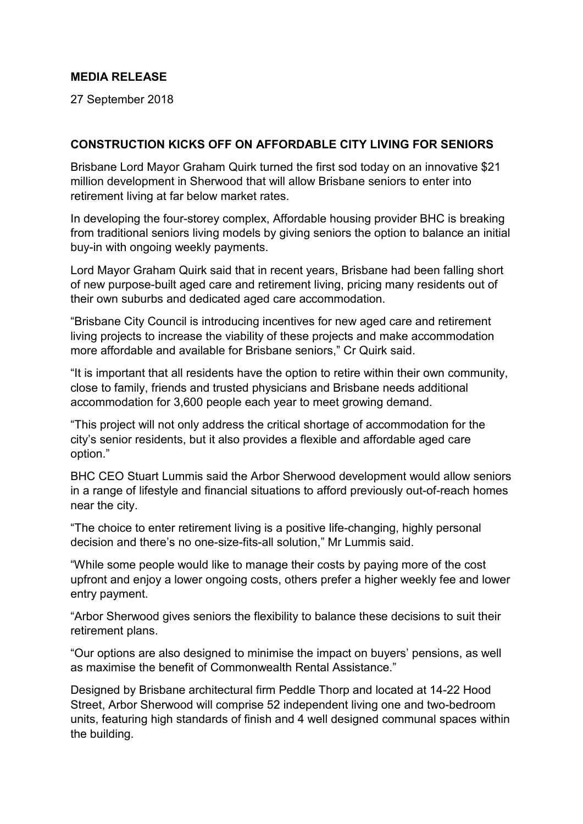## **MEDIA RELEASE**

27 September 2018

## **CONSTRUCTION KICKS OFF ON AFFORDABLE CITY LIVING FOR SENIORS**

Brisbane Lord Mayor Graham Quirk turned the first sod today on an innovative \$21 million development in Sherwood that will allow Brisbane seniors to enter into retirement living at far below market rates.

In developing the four-storey complex, Affordable housing provider BHC is breaking from traditional seniors living models by giving seniors the option to balance an initial buy-in with ongoing weekly payments.

Lord Mayor Graham Quirk said that in recent years, Brisbane had been falling short of new purpose-built aged care and retirement living, pricing many residents out of their own suburbs and dedicated aged care accommodation.

"Brisbane City Council is introducing incentives for new aged care and retirement living projects to increase the viability of these projects and make accommodation more affordable and available for Brisbane seniors," Cr Quirk said.

"It is important that all residents have the option to retire within their own community, close to family, friends and trusted physicians and Brisbane needs additional accommodation for 3,600 people each year to meet growing demand.

"This project will not only address the critical shortage of accommodation for the city's senior residents, but it also provides a flexible and affordable aged care option."

BHC CEO Stuart Lummis said the Arbor Sherwood development would allow seniors in a range of lifestyle and financial situations to afford previously out-of-reach homes near the city.

"The choice to enter retirement living is a positive life-changing, highly personal decision and there's no one-size-fits-all solution," Mr Lummis said.

"While some people would like to manage their costs by paying more of the cost upfront and enjoy a lower ongoing costs, others prefer a higher weekly fee and lower entry payment.

"Arbor Sherwood gives seniors the flexibility to balance these decisions to suit their retirement plans.

"Our options are also designed to minimise the impact on buyers' pensions, as well as maximise the benefit of Commonwealth Rental Assistance."

Designed by Brisbane architectural firm Peddle Thorp and located at 14-22 Hood Street, Arbor Sherwood will comprise 52 independent living one and two-bedroom units, featuring high standards of finish and 4 well designed communal spaces within the building.